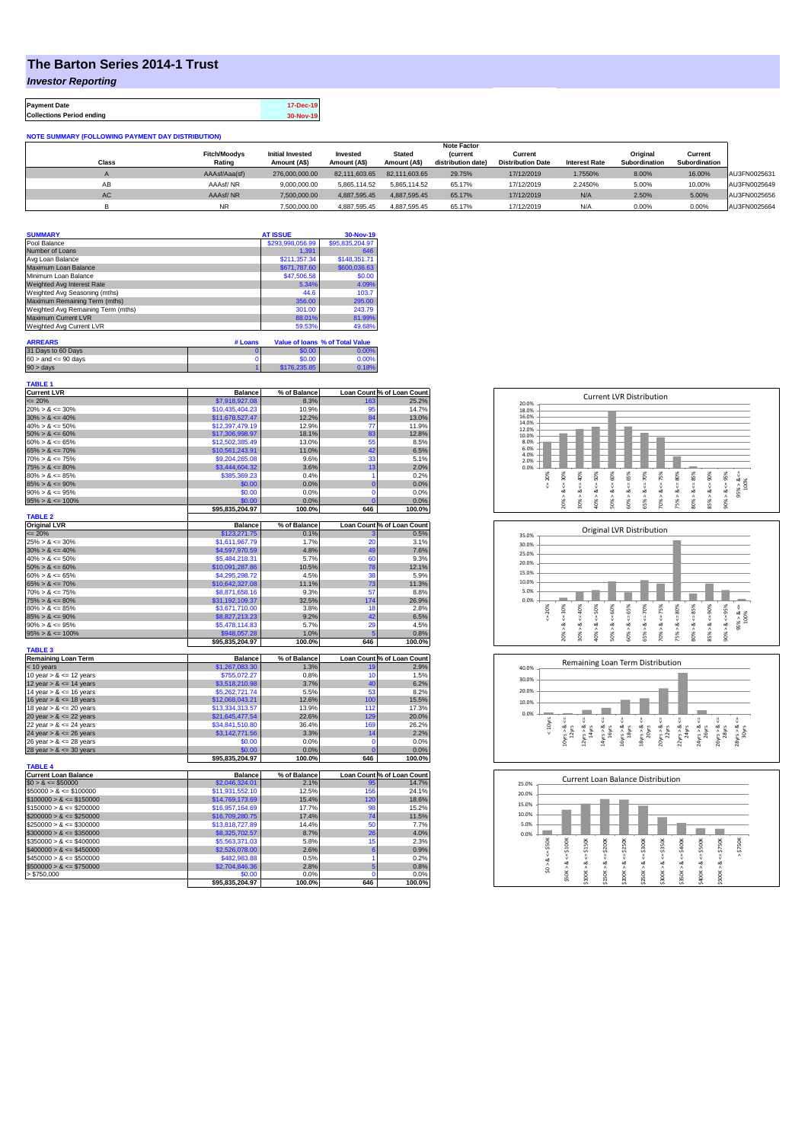## **The Barton Series 2014-1 Trust**

*Investor Reporting*

**Payment Date 17-Dec-19 Collections Period ending 30-Nov-19**

| <b>NOTE SUMMARY (FOLLOWING PAYMENT DAY DISTRIBUTION)</b> |                     |                         |               |               |                    |                          |                      |               |               |              |
|----------------------------------------------------------|---------------------|-------------------------|---------------|---------------|--------------------|--------------------------|----------------------|---------------|---------------|--------------|
|                                                          | <b>Note Factor</b>  |                         |               |               |                    |                          |                      |               |               |              |
|                                                          | <b>Fitch/Moodvs</b> | <b>Initial Invested</b> | Invested      | <b>Stated</b> | <b>(current</b>    | Current                  |                      | Original      | Current       |              |
| <b>Class</b>                                             | Rating              | Amount (A\$)            | Amount (A\$)  | Amount (A\$)  | distribution date) | <b>Distribution Date</b> | <b>Interest Rate</b> | Subordination | Subordination |              |
|                                                          | AAAsf/Aaa(sf)       | 276,000,000.00          | 82.111.603.65 | 82.111.603.65 | 29.75%             | 17/12/2019               | 1.7550%              | 8.00%         | 16.00%        | AU3FN0025631 |
| AB                                                       | AAAsf/NR            | 9.000.000.00            | 5.865.114.52  | 5.865.114.52  | 65.17%             | 17/12/2019               | 2.2450%              | 5.00%         | 10.00%        | AU3FN0025649 |
| <b>AC</b>                                                | AAAsf/NR            | 7.500.000.00            | 4.887.595.45  | 4.887.595.45  | 65.17%             | 17/12/2019               | N/A                  | 2.50%         | 5.00%         | AU3FN0025656 |
|                                                          | <b>NR</b>           | 7.500.000.00            | 4.887.595.45  | 4.887.595.45  | 65.17%             | 17/12/2019               | N/A                  | 0.00%         | 0.00%         | AU3FN0025664 |

| <b>SUMMARY</b>                     | <b>AT ISSUE</b>  | 30-Nov-19       |
|------------------------------------|------------------|-----------------|
| Pool Balance                       | \$293,998,056.99 | \$95,835,204.97 |
| Number of Loans                    | 1,391            | 646             |
| Avg Loan Balance                   | \$211,357.34     | \$148,351.71    |
| Maximum Loan Balance               | \$671,787.60     | \$600,036.63    |
| Minimum Loan Balance               | \$47,506.58      | \$0.00          |
| Weighted Avg Interest Rate         | 5.34%            | 4.09%           |
| Weighted Avg Seasoning (mths)      | 44.6             | 103.7           |
| Maximum Remaining Term (mths)      | 356.00           | 295.00          |
| Weighted Avg Remaining Term (mths) | 301.00           | 243.79          |
| Maximum Current LVR                | 88.01%           | 81.99%          |
| Weighted Avg Current LVR           | 59.53%           | 49.68%          |

| <b>ARREARS</b>            | # Loans |              | Value of Joans % of Total Value |
|---------------------------|---------|--------------|---------------------------------|
| 31 Days to 60 Days        |         | \$0.00       | 0.00%                           |
| $60 >$ and $\leq 90$ days |         | \$0.00       | 0.00%                           |
| 90 > davs                 |         | \$176,235,85 | 0.18%                           |

| <b>TABLE 1</b>              |                 |              |                |                            |
|-----------------------------|-----------------|--------------|----------------|----------------------------|
| <b>Current LVR</b>          | <b>Balance</b>  | % of Balance |                | Loan Count % of Loan Count |
| $= 20%$                     | \$7,918,927.08  | 8.3%         | 163            | 25.2%                      |
| $20\% > 8 \le 30\%$         | \$10,435,404.23 | 10.9%        | 95             | 14.7%                      |
| $30\% > 8 \le 40\%$         | \$11,678,527.47 | 12.2%        | 84             | 13.0%                      |
| $40\% > 8 \le 50\%$         | \$12,397,479.19 | 12.9%        | 77             | 11.9%                      |
| $50\% > 8 \le 60\%$         | \$17,306,998.97 | 18.1%        | 83             | 12.8%                      |
| $60\% > 8 \le 65\%$         | \$12,502,385.49 | 13.0%        | 55             | 8.5%                       |
| $65\% > 8 \le 70\%$         | \$10,561,243.91 | 11.0%        | 42             | 6.5%                       |
| $70\% > 8 \le 75\%$         | \$9,204,265.08  | 9.6%         | 33             | 5.1%                       |
| $75\% > 8 \le 80\%$         | \$3,444,604.32  | 3.6%         | 13             | 2.0%                       |
| $80\% > 8 \le 85\%$         | \$385,369.23    | 0.4%         | 1              | 0.2%                       |
| $85\% > 8 \le 90\%$         | \$0.00          | 0.0%         | $\overline{0}$ | 0.0%                       |
| $90\% > 8 \le 95\%$         | \$0.00          | 0.0%         | $\Omega$       | 0.0%                       |
| $95\% > 8 \le 100\%$        | \$0.00          | 0.0%         | $\overline{0}$ | 0.0%                       |
|                             | \$95,835,204.97 | 100.0%       | 646            | 100.0%                     |
| <b>TABLE 2</b>              |                 |              |                |                            |
| <b>Original LVR</b>         | <b>Balance</b>  | % of Balance |                | Loan Count % of Loan Count |
| $\epsilon = 20\%$           | \$123,271.75    | 0.1%         | з              | 0.5%                       |
| $25\% > 8 \le 30\%$         | \$1,611,967.79  | 1.7%         | 20             | 3.1%                       |
| $30\% > 8 \le 40\%$         | \$4,597,970.59  | 4.8%         | 49             | 7.6%                       |
| $40\% > 8 \le 50\%$         |                 | 5.7%         | 60             | 9.3%                       |
|                             | \$5,484,218.31  |              |                |                            |
| $50\% > 8 \le 60\%$         | \$10,091,287.86 | 10.5%        | 78             | 12.1%                      |
| $60\% > 8 \le 65\%$         | \$4,295,298.72  | 4.5%         | 38             | 5.9%                       |
| $65\% > 8 \le 70\%$         | \$10,642,327.08 | 11.1%        | 73             | 11.3%                      |
| $70\% > 8 \le 75\%$         | \$8,871,658.16  | 9.3%         | 57             | 8.8%                       |
| $75\% > 8 \le 80\%$         | \$31,192,109.37 | 32.5%        | 174            | 26.9%                      |
| $80\% > 8 \le 85\%$         | \$3,671,710.00  | 3.8%         | 18             | 2.8%                       |
| $85\% > 8 \le 90\%$         | \$8,827,213.23  | 9.2%         | 42             | 6.5%                       |
| $90\% > 8 \le 95\%$         | \$5,478,114.83  | 5.7%         | 29             | 4.5%                       |
| $95\% > 8 \le 100\%$        | \$948,057.28    | 1.0%         | 5              | 0.8%                       |
|                             | \$95,835,204.97 | 100.0%       | 646            | 100.0%                     |
| <b>TABLE 3</b>              |                 |              |                |                            |
|                             |                 |              |                |                            |
| <b>Remaining Loan Term</b>  | <b>Balance</b>  | % of Balance |                | Loan Count % of Loan Count |
| < 10 years                  | \$1,267,083.30  | 1.3%         | 19             | 2.9%                       |
| 10 year $> 8 \le 12$ years  | \$755,072.27    | 0.8%         | 10             | 1.5%                       |
| 12 year $> 8 \le 14$ years  | \$3,518,210.98  | 3.7%         | 40             | 6.2%                       |
| 14 year $> 8 \le 16$ years  | \$5,262,721.74  | 5.5%         | 53             | 8.2%                       |
| 16 year $> 8 \le 18$ years  | \$12,068,043.21 | 12.6%        | 100            | 15.5%                      |
|                             | \$13,334,313.57 | 13.9%        | 112            | 17.3%                      |
| 18 year $> 8 \le 20$ years  | \$21,645,477.54 | 22.6%        | 129            |                            |
| 20 year $> 8 \le 22$ years  |                 |              |                | 20.0%                      |
| 22 year $> 8 \le 24$ years  | \$34,841,510.80 | 36.4%        | 169            | 26.2%                      |
| 24 year $> 8 \le 26$ years  | \$3,142,771.56  | 3.3%         | 14             | 2.2%                       |
| 26 year $> 8 \le 28$ years  | \$0.00          | 0.0%         | $\mathbf 0$    | 0.0%                       |
| 28 year $> 8 \le 30$ years  | \$0.00          | 0.0%         | $\overline{0}$ | 0.0%                       |
|                             | \$95,835,204.97 | 100.0%       | 646            | 100.0%                     |
| <b>TABLE 4</b>              |                 |              |                |                            |
| <b>Current Loan Balance</b> | <b>Balance</b>  | % of Balance |                | Loan Count % of Loan Count |
| $$0 > 8 \le $50000$         | \$2,046,324.01  | 2.1%         | 95             | 14.7%                      |
| $$50000 > 8 \le $100000$    | \$11,931,552.10 | 12.5%        | 156            | 24.1%                      |
| $$100000 > 8 \le $150000$   | \$14,769,173.69 | 15.4%        | 120            | 18.6%                      |
| $$150000 > 8 \le $200000$   | \$16,957,164.69 | 17.7%        | 98             | 15.2%                      |
| $$200000 > 8 \leq $250000$  | \$16,709,280.75 | 17.4%        | 74             | 11.5%                      |
| $$250000 > 8 \le $300000$   | \$13,818,727.89 | 14.4%        | 50             | 7.7%                       |
| $$300000 > 8 \leq $350000$  | \$8,325,702.57  | 8.7%         | 26             | 4.0%                       |
| $$350000 > 8 \le $400000$   | \$5,563,371.03  | 5.8%         | 15             |                            |
| $$400000 > 8 \leq $450000$  | \$2,526,078.00  | 2.6%         | 6              | 0.9%                       |
| $$450000 > 8 \leq $500000$  | \$482.983.88    | 0.5%         | 1              | 0.2%                       |
| $$500000 > 8 \le $750000$   | \$2,704,846.36  | 2.8%         | 5              | 0.8%                       |
| > \$750,000                 | \$0.00          | 0.0%         | $\Omega$       | 2.3%<br>0.0%               |